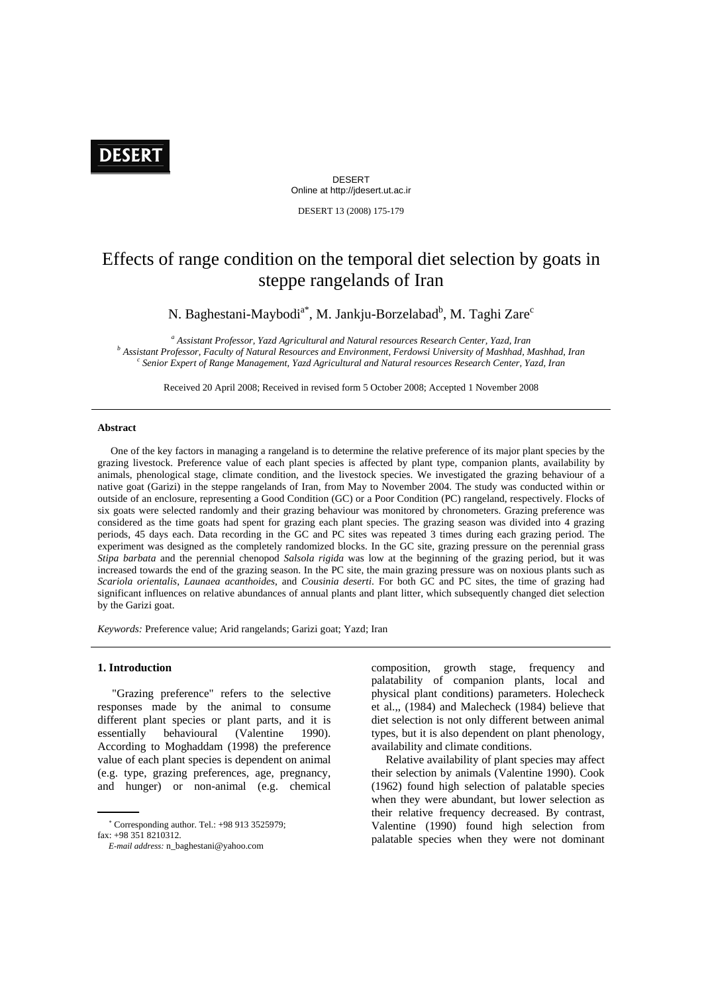# **DESERT**

DESERT Online at http://jdesert.ut.ac.ir

DESERT 13 (2008) 175-179

# Effects of range condition on the temporal diet selection by goats in steppe rangelands of Iran

N. Baghestani-Maybodi<sup>a\*</sup>, M. Jankju-Borzelabad<sup>b</sup>, M. Taghi Zare<sup>c</sup>

<sup>a</sup> Assistant Professor, Yazd Agricultural and Natural resources Research Center, Yazd, Iran <sup>b</sup> Assistant Professor, Easylty of Matural Bessures and Environment, Eardowsi University of Maghbad, N  *Assistant Professor, Faculty of Natural Resources and Environment, Ferdowsi University of Mashhad, Mashhad, Iran c Senior Expert of Range Management, Yazd Agricultural and Natural resources Research Center, Yazd, Iran*

Received 20 April 2008; Received in revised form 5 October 2008; Accepted 1 November 2008

### **Abstract**

 One of the key factors in managing a rangeland is to determine the relative preference of its major plant species by the grazing livestock. Preference value of each plant species is affected by plant type, companion plants, availability by animals, phenological stage, climate condition, and the livestock species. We investigated the grazing behaviour of a native goat (Garizi) in the steppe rangelands of Iran, from May to November 2004. The study was conducted within or outside of an enclosure, representing a Good Condition (GC) or a Poor Condition (PC) rangeland, respectively. Flocks of six goats were selected randomly and their grazing behaviour was monitored by chronometers. Grazing preference was considered as the time goats had spent for grazing each plant species. The grazing season was divided into 4 grazing periods, 45 days each. Data recording in the GC and PC sites was repeated 3 times during each grazing period. The experiment was designed as the completely randomized blocks. In the GC site, grazing pressure on the perennial grass *Stipa barbata* and the perennial chenopod *Salsola rigida* was low at the beginning of the grazing period, but it was increased towards the end of the grazing season. In the PC site, the main grazing pressure was on noxious plants such as *Scariola orientalis*, *Launaea acanthoides*, and *Cousinia deserti*. For both GC and PC sites, the time of grazing had significant influences on relative abundances of annual plants and plant litter, which subsequently changed diet selection by the Garizi goat.

*Keywords:* Preference value; Arid rangelands; Garizi goat; Yazd; Iran

## **1. Introduction**

1

 "Grazing preference" refers to the selective responses made by the animal to consume different plant species or plant parts, and it is essentially behavioural (Valentine 1990). According to Moghaddam (1998) the preference value of each plant species is dependent on animal (e.g. type, grazing preferences, age, pregnancy, and hunger) or non-animal (e.g. chemical composition, growth stage, frequency and palatability of companion plants, local and physical plant conditions) parameters. Holecheck et al.,, (1984) and Malecheck (1984) believe that diet selection is not only different between animal types, but it is also dependent on plant phenology, availability and climate conditions.

 Relative availability of plant species may affect their selection by animals (Valentine 1990). Cook (1962) found high selection of palatable species when they were abundant, but lower selection as their relative frequency decreased. By contrast, Valentine (1990) found high selection from palatable species when they were not dominant

<sup>∗</sup> Corresponding author. Tel.: +98 913 3525979;  $f_{\text{av}}$ : +98 351 8210312

*E-mail address:* n\_baghestani@yahoo.com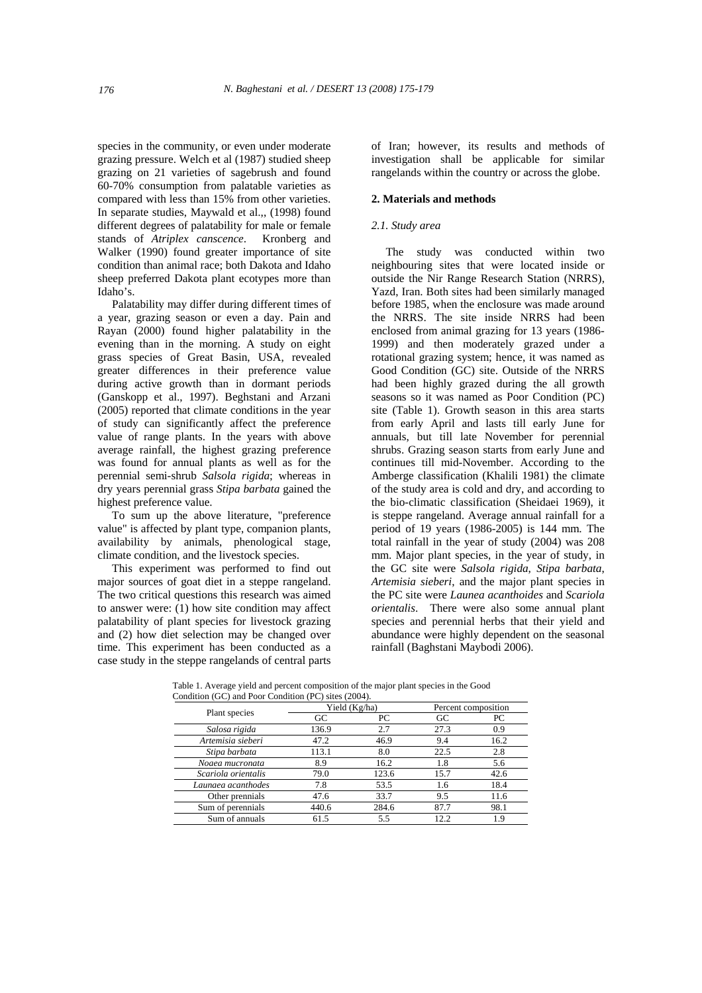species in the community, or even under moderate grazing pressure. Welch et al (1987) studied sheep grazing on 21 varieties of sagebrush and found 60-70% consumption from palatable varieties as compared with less than 15% from other varieties. In separate studies, Maywald et al.,, (1998) found different degrees of palatability for male or female stands of *Atriplex canscence*. Kronberg and Walker (1990) found greater importance of site condition than animal race; both Dakota and Idaho sheep preferred Dakota plant ecotypes more than Idaho's.

 Palatability may differ during different times of a year, grazing season or even a day. Pain and Rayan (2000) found higher palatability in the evening than in the morning. A study on eight grass species of Great Basin, USA, revealed greater differences in their preference value during active growth than in dormant periods (Ganskopp et al., 1997). Beghstani and Arzani (2005) reported that climate conditions in the year of study can significantly affect the preference value of range plants. In the years with above average rainfall, the highest grazing preference was found for annual plants as well as for the perennial semi-shrub *Salsola rigida*; whereas in dry years perennial grass *Stipa barbata* gained the highest preference value.

 To sum up the above literature, "preference value" is affected by plant type, companion plants, availability by animals, phenological stage, climate condition, and the livestock species.

 This experiment was performed to find out major sources of goat diet in a steppe rangeland. The two critical questions this research was aimed to answer were: (1) how site condition may affect palatability of plant species for livestock grazing and (2) how diet selection may be changed over time. This experiment has been conducted as a case study in the steppe rangelands of central parts

of Iran; however, its results and methods of investigation shall be applicable for similar rangelands within the country or across the globe.

#### **2. Materials and methods**

#### *2.1. Study area*

 The study was conducted within two neighbouring sites that were located inside or outside the Nir Range Research Station (NRRS), Yazd, Iran. Both sites had been similarly managed before 1985, when the enclosure was made around the NRRS. The site inside NRRS had been enclosed from animal grazing for 13 years (1986- 1999) and then moderately grazed under a rotational grazing system; hence, it was named as Good Condition (GC) site. Outside of the NRRS had been highly grazed during the all growth seasons so it was named as Poor Condition (PC) site (Table 1). Growth season in this area starts from early April and lasts till early June for annuals, but till late November for perennial shrubs. Grazing season starts from early June and continues till mid-November. According to the Amberge classification (Khalili 1981) the climate of the study area is cold and dry, and according to the bio-climatic classification (Sheidaei 1969), it is steppe rangeland. Average annual rainfall for a period of 19 years (1986-2005) is 144 mm. The total rainfall in the year of study (2004) was 208 mm. Major plant species, in the year of study, in the GC site were *Salsola rigida*, *Stipa barbata*, *Artemisia sieberi*, and the major plant species in the PC site were *Launea acanthoides* and *Scariola orientalis*. There were also some annual plant species and perennial herbs that their yield and abundance were highly dependent on the seasonal rainfall (Baghstani Maybodi 2006).

Table 1. Average yield and percent composition of the major plant species in the Good

|  | Condition (GC) and Poor Condition (PC) sites (2004). |               |       |                     |      |
|--|------------------------------------------------------|---------------|-------|---------------------|------|
|  | Plant species                                        | Yield (Kg/ha) |       | Percent composition |      |
|  |                                                      | GC            | PС    | GC                  | PС   |
|  | Salosa rigida                                        | 136.9         | 2.7   | 27.3                | 0.9  |
|  | Artemisia sieberi                                    | 47.2          | 46.9  | 9.4                 | 16.2 |
|  | Stipa barbata                                        | 113.1         | 8.0   | 22.5                | 2.8  |
|  | Noaea mucronata                                      | 8.9           | 16.2  | 1.8                 | 5.6  |
|  | Scariola orientalis                                  | 79.0          | 123.6 | 15.7                | 42.6 |
|  | Launaea acanthodes                                   | 7.8           | 53.5  | 1.6                 | 18.4 |
|  | Other prennials                                      | 47.6          | 33.7  | 9.5                 | 11.6 |
|  | Sum of perennials                                    | 440.6         | 284.6 | 87.7                | 98.1 |
|  | Sum of annuals                                       | 61.5          | 5.5   | 12.2                | 1.9  |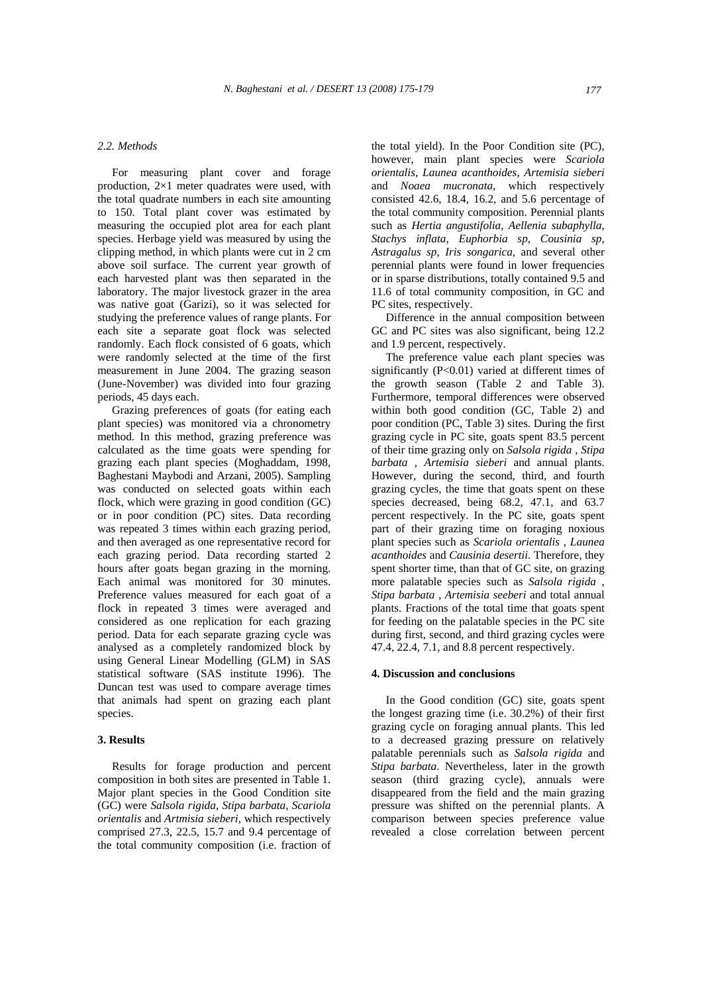#### *2.2. Methods*

 For measuring plant cover and forage production, 2×1 meter quadrates were used, with the total quadrate numbers in each site amounting to 150. Total plant cover was estimated by measuring the occupied plot area for each plant species. Herbage yield was measured by using the clipping method, in which plants were cut in 2 cm above soil surface. The current year growth of each harvested plant was then separated in the laboratory. The major livestock grazer in the area was native goat (Garizi), so it was selected for studying the preference values of range plants. For each site a separate goat flock was selected randomly. Each flock consisted of 6 goats, which were randomly selected at the time of the first measurement in June 2004. The grazing season (June-November) was divided into four grazing periods, 45 days each.

 Grazing preferences of goats (for eating each plant species) was monitored via a chronometry method. In this method, grazing preference was calculated as the time goats were spending for grazing each plant species (Moghaddam, 1998, Baghestani Maybodi and Arzani, 2005). Sampling was conducted on selected goats within each flock, which were grazing in good condition (GC) or in poor condition (PC) sites. Data recording was repeated 3 times within each grazing period, and then averaged as one representative record for each grazing period. Data recording started 2 hours after goats began grazing in the morning. Each animal was monitored for 30 minutes. Preference values measured for each goat of a flock in repeated 3 times were averaged and considered as one replication for each grazing period. Data for each separate grazing cycle was analysed as a completely randomized block by using General Linear Modelling (GLM) in SAS statistical software (SAS institute 1996). The Duncan test was used to compare average times that animals had spent on grazing each plant species.

# **3. Results**

 Results for forage production and percent composition in both sites are presented in Table 1. Major plant species in the Good Condition site (GC) were *Salsola rigida*, *Stipa barbata*, *Scariola orientalis* and *Artmisia sieberi,* which respectively comprised 27.3, 22.5, 15.7 and 9.4 percentage of the total community composition (i.e. fraction of the total yield). In the Poor Condition site (PC), however, main plant species were *Scariola orientalis*, *Launea acanthoides*, *Artemisia sieberi*  and *Noaea mucronata*, which respectively consisted 42.6, 18.4, 16.2, and 5.6 percentage of the total community composition. Perennial plants such as *Hertia angustifolia*, *Aellenia subaphylla*, *Stachys inflata*, *Euphorbia sp*, *Cousinia sp*, *Astragalus sp*, *Iris songarica,* and several other perennial plants were found in lower frequencies or in sparse distributions, totally contained 9.5 and 11.6 of total community composition, in GC and PC sites, respectively.

 Difference in the annual composition between GC and PC sites was also significant, being 12.2 and 1.9 percent, respectively.

 The preference value each plant species was significantly (P<0.01) varied at different times of the growth season (Table 2 and Table 3). Furthermore, temporal differences were observed within both good condition (GC, Table 2) and poor condition (PC, Table 3) sites. During the first grazing cycle in PC site, goats spent 83.5 percent of their time grazing only on *Salsola rigida* , *Stipa barbata , Artemisia sieberi* and annual plants. However, during the second, third, and fourth grazing cycles, the time that goats spent on these species decreased, being 68.2, 47.1, and 63.7 percent respectively. In the PC site, goats spent part of their grazing time on foraging noxious plant species such as *Scariola orientalis* , *Launea acanthoides* and *Causinia desertii*. Therefore, they spent shorter time, than that of GC site, on grazing more palatable species such as *Salsola rigida , Stipa barbata , Artemisia seeberi* and total annual plants. Fractions of the total time that goats spent for feeding on the palatable species in the PC site during first, second, and third grazing cycles were 47.4, 22.4, 7.1, and 8.8 percent respectively.

#### **4. Discussion and conclusions**

 In the Good condition (GC) site, goats spent the longest grazing time (i.e. 30.2%) of their first grazing cycle on foraging annual plants. This led to a decreased grazing pressure on relatively palatable perennials such as *Salsola rigida* and *Stipa barbata*. Nevertheless, later in the growth season (third grazing cycle), annuals were disappeared from the field and the main grazing pressure was shifted on the perennial plants. A comparison between species preference value revealed a close correlation between percent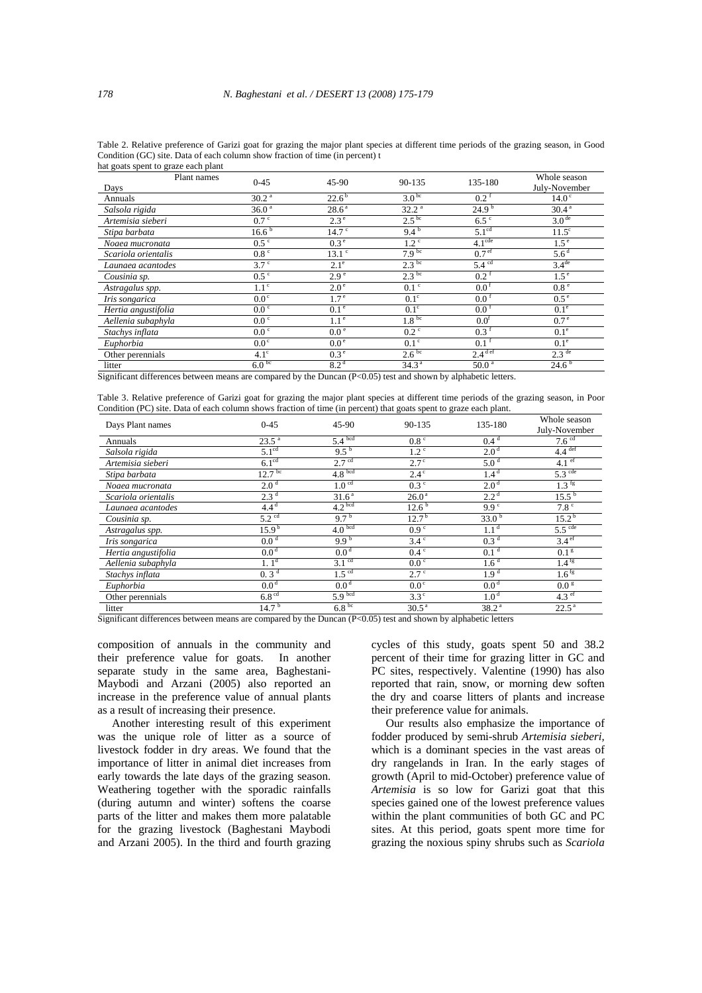| Table 2. Relative preference of Garizi goat for grazing the major plant species at different time periods of the grazing season, in Good |  |
|------------------------------------------------------------------------------------------------------------------------------------------|--|
| Condition (GC) site. Data of each column show fraction of time (in percent) t                                                            |  |
| hat goats spent to graze each plant                                                                                                      |  |

| $0 - 45$          | 45-90             | 90-135            | 135-180                                                     | Whole season<br>July-November                                            |
|-------------------|-------------------|-------------------|-------------------------------------------------------------|--------------------------------------------------------------------------|
| 30.2 <sup>a</sup> | $22.6^{\rm b}$    | 3.0 <sup>bc</sup> | $0.2^{\text{f}}$                                            | 14.0 <sup>c</sup>                                                        |
| 36.0 <sup>a</sup> | 28.6 <sup>a</sup> | 32.2 <sup>a</sup> | 24.9 <sup>b</sup>                                           | 30.4 <sup>a</sup>                                                        |
| 0.7 <sup>c</sup>  | 2.3 <sup>e</sup>  | 2.5 <sup>bc</sup> | $6.5$ $\degree$                                             | 3.0 <sup>de</sup>                                                        |
| 16.6 <sup>b</sup> | 14.7 <sup>c</sup> | $9.4^{b}$         | 5.1 <sup>cd</sup>                                           | $11.5^\circ$                                                             |
| 0.5 <sup>c</sup>  | 0.3 <sup>e</sup>  | 1.2 <sup>c</sup>  | 4.1 <sup>cde</sup>                                          | 1.5 <sup>e</sup>                                                         |
| 0.8 <sup>c</sup>  | $13.1$ $\degree$  |                   | 0.7 <sup>ef</sup>                                           | 5.6 <sup>d</sup>                                                         |
| 3.7 <sup>c</sup>  | $2.1^{\circ}$     |                   |                                                             | 3.4 <sup>de</sup>                                                        |
| 0.5 <sup>c</sup>  | 2.9 <sup>e</sup>  | 2.3 <sup>bc</sup> | $0.2$ <sup>f</sup>                                          | 1.5 <sup>e</sup>                                                         |
| 1.1 <sup>c</sup>  | 2.0 <sup>e</sup>  | $0.1$ $\degree$   | 0.0 <sup>f</sup>                                            | 0.8 <sup>e</sup>                                                         |
| $0.0^\circ$       | 1.7 <sup>e</sup>  | $0.1^\circ$       | 0.0 <sup>f</sup>                                            | 0.5 <sup>e</sup>                                                         |
| 0.0 <sup>c</sup>  | 0.1 <sup>e</sup>  | $0.1^\circ$       | $0.0^{\,6}$                                                 | 0.1 <sup>e</sup>                                                         |
| 0.0 <sup>c</sup>  | 1.1 <sup>e</sup>  | 1.8 <sup>bc</sup> | 0.0 <sup>t</sup>                                            | 0.7 <sup>e</sup>                                                         |
| 0.0 <sup>c</sup>  | 0.0 <sup>e</sup>  | $0.2$ $\degree$   | $0.3^{\text{t}}$                                            | 0.1 <sup>e</sup>                                                         |
| 0.0 <sup>c</sup>  | 0.0 <sup>e</sup>  | 0.1 <sup>c</sup>  | $0.1^{\text{f}}$                                            | 0.1 <sup>e</sup>                                                         |
| $4.1^\circ$       | 0.3 <sup>e</sup>  |                   |                                                             | $2.3$ <sup>de</sup>                                                      |
|                   | 8.2 <sup>d</sup>  | 34.3 <sup>a</sup> | 50.0 <sup>a</sup>                                           | 24.6 <sup>b</sup>                                                        |
|                   | 6.0 <sup>bc</sup> |                   | 7.9 <sup>bc</sup><br>2.3 <sup>bc</sup><br>2.6 <sup>bc</sup> | 5.4 <sup>cd</sup><br>$2.4$ <sup>def</sup><br>$\sim$ $\sim$ $\sim$ $\sim$ |

Significant differences between means are compared by the Duncan (P<0.05) test and shown by alphabetic letters.

Table 3. Relative preference of Garizi goat for grazing the major plant species at different time periods of the grazing season, in Poor Condition (PC) site. Data of each column shows fraction of time (in percent) that goats spent to graze each plant.

| Days Plant names    | $0 - 45$            | $45-90$            | 90-135            | 135-180           | Whole season         |
|---------------------|---------------------|--------------------|-------------------|-------------------|----------------------|
|                     |                     |                    |                   |                   | July-November        |
| Annuals             | 23.5 <sup>a</sup>   | 5.4 <sup>bcd</sup> | 0.8 <sup>c</sup>  | 0.4 <sup>d</sup>  | 7.6 <sup>cd</sup>    |
| Salsola rigida      | 5.1 <sup>cd</sup>   | $9.5^{b}$          | 1.2 <sup>c</sup>  | 2.0 <sup>d</sup>  | $4.4$ <sup>def</sup> |
| Artemisia sieberi   | 6.1 <sup>cd</sup>   | 2.7 <sup>cd</sup>  | $2.7^{\circ}$     | 5.0 <sup>d</sup>  | 4.1 $^{\rm ef}$      |
| Stipa barbata       | 12.7 <sup>bc</sup>  | 4.8 <sup>bcd</sup> | $2.4^\circ$       | 1.4 <sup>d</sup>  | $5.3$ <sup>cde</sup> |
| Noaea mucronata     | 2.0 <sup>d</sup>    | 1.0 <sup>cd</sup>  | 0.3 <sup>c</sup>  | 2.0 <sup>d</sup>  | $1.3$ fg             |
| Scariola orientalis | 2.3 <sup>d</sup>    | 31.6 <sup>a</sup>  | 26.0 <sup>a</sup> | 2.2 <sup>d</sup>  | $15.5^{b}$           |
| Launaea acantodes   | $4.4^{\rm d}$       | 4.2 <sup>bcd</sup> | 12.6 <sup>b</sup> | 9.9 <sup>c</sup>  | 7.8 <sup>c</sup>     |
| Cousinia sp.        | $5.2$ <sup>cd</sup> | 9.7 <sup>b</sup>   | 12.7 <sup>b</sup> | 33.0 $b$          | 15.2 <sup>b</sup>    |
| Astragalus spp.     | 15.9 <sup>b</sup>   | 4.0 <sup>bcd</sup> | 0.9 <sup>c</sup>  | 1.1 <sup>d</sup>  | $5.5$ <sup>cde</sup> |
| Iris songarica      | 0.0 <sup>d</sup>    | 9.9 <sup>b</sup>   | 3.4 <sup>c</sup>  | 0.3 <sup>d</sup>  | 3.4 <sup>ef</sup>    |
| Hertia angustifolia | 0.0 <sup>d</sup>    | 0.0 <sup>d</sup>   | $0.4\degree$      | 0.1 <sup>d</sup>  | 0.1 <sup>g</sup>     |
| Aellenia subaphyla  | 1.1 <sup>d</sup>    | 3.1 <sup>cd</sup>  | $0.0 \degree$     | 1.6 <sup>d</sup>  | $1.4$ <sup>fg</sup>  |
| Stachys inflata     | 0.3 <sup>d</sup>    | 1.5 <sup>cd</sup>  | 2.7 <sup>c</sup>  | 1.9 <sup>d</sup>  | $1.6$ <sup>fg</sup>  |
| Euphorbia           | 0.0 <sup>d</sup>    | 0.0 <sup>d</sup>   | 0.0 <sup>c</sup>  | 0.0 <sup>d</sup>  | 0.0 <sup>g</sup>     |
| Other perennials    | 6.8 <sup>cd</sup>   | 5.9 <sup>bcd</sup> | $3.3^\circ$       | 1.0 <sup>d</sup>  | $4.3$ ef             |
| litter              | 14.7 <sup>b</sup>   | 6.8 <sup>bc</sup>  | 30.5 <sup>a</sup> | 38.2 <sup>a</sup> | 22.5 <sup>a</sup>    |

Significant differences between means are compared by the Duncan (P<0.05) test and shown by alphabetic letters

composition of annuals in the community and their preference value for goats. In another separate study in the same area, Baghestani-Maybodi and Arzani (2005) also reported an increase in the preference value of annual plants as a result of increasing their presence.

 Another interesting result of this experiment was the unique role of litter as a source of livestock fodder in dry areas. We found that the importance of litter in animal diet increases from early towards the late days of the grazing season. Weathering together with the sporadic rainfalls (during autumn and winter) softens the coarse parts of the litter and makes them more palatable for the grazing livestock (Baghestani Maybodi and Arzani 2005). In the third and fourth grazing

cycles of this study, goats spent 50 and 38.2 percent of their time for grazing litter in GC and PC sites, respectively. Valentine (1990) has also reported that rain, snow, or morning dew soften the dry and coarse litters of plants and increase their preference value for animals.

 Our results also emphasize the importance of fodder produced by semi-shrub *Artemisia sieberi,*  which is a dominant species in the vast areas of dry rangelands in Iran. In the early stages of growth (April to mid-October) preference value of *Artemisia* is so low for Garizi goat that this species gained one of the lowest preference values within the plant communities of both GC and PC sites. At this period, goats spent more time for grazing the noxious spiny shrubs such as *Scariola*